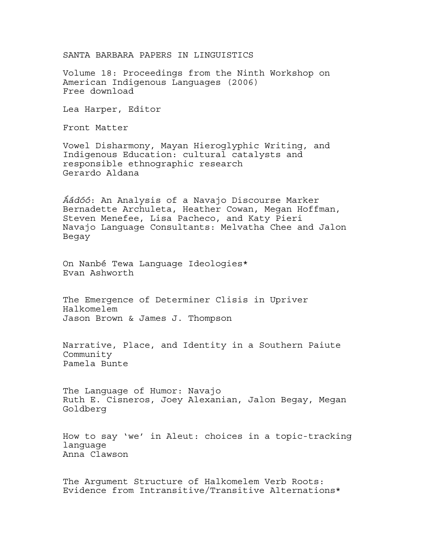SANTA BARBARA PAPERS IN LINGUISTICS

Volume 18: Proceedings from the Ninth Workshop on American Indigenous Languages (2006) Free download

Lea Harper, Editor

Front Matter

Vowel Disharmony, Mayan Hieroglyphic Writing, and Indigenous Education: cultural catalysts and responsible ethnographic research Gerardo Aldana

*Áádóó*: An Analysis of a Navajo Discourse Marker Bernadette Archuleta, Heather Cowan, Megan Hoffman, Steven Menefee, Lisa Pacheco, and Katy Pieri Navajo Language Consultants: Melvatha Chee and Jalon Begay

On Nanbé Tewa Language Ideologies\* Evan Ashworth

The Emergence of Determiner Clisis in Upriver Halkomelem Jason Brown & James J. Thompson

Narrative, Place, and Identity in a Southern Paiute Community Pamela Bunte

The Language of Humor: Navajo Ruth E. Cisneros, Joey Alexanian, Jalon Begay, Megan Goldberg

How to say 'we' in Aleut: choices in a topic-tracking language Anna Clawson

The Argument Structure of Halkomelem Verb Roots: Evidence from Intransitive/Transitive Alternations\*